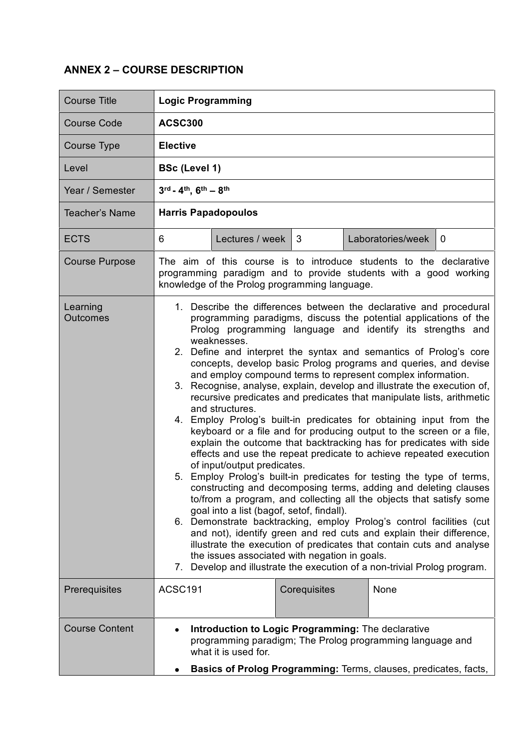## **ANNEX 2 – COURSE DESCRIPTION**

| <b>Course Title</b>         | <b>Logic Programming</b>                                                                                                                                                                                                                                                                                                                                                                                                                                                                                                                                                                                                                                                                                                                                                                                                                                                                                                                                                                                                                                                                                                                                                                                                                                                                                                                                                                                                                                                                                                                         |              |                               |  |  |  |  |
|-----------------------------|--------------------------------------------------------------------------------------------------------------------------------------------------------------------------------------------------------------------------------------------------------------------------------------------------------------------------------------------------------------------------------------------------------------------------------------------------------------------------------------------------------------------------------------------------------------------------------------------------------------------------------------------------------------------------------------------------------------------------------------------------------------------------------------------------------------------------------------------------------------------------------------------------------------------------------------------------------------------------------------------------------------------------------------------------------------------------------------------------------------------------------------------------------------------------------------------------------------------------------------------------------------------------------------------------------------------------------------------------------------------------------------------------------------------------------------------------------------------------------------------------------------------------------------------------|--------------|-------------------------------|--|--|--|--|
| <b>Course Code</b>          | <b>ACSC300</b>                                                                                                                                                                                                                                                                                                                                                                                                                                                                                                                                                                                                                                                                                                                                                                                                                                                                                                                                                                                                                                                                                                                                                                                                                                                                                                                                                                                                                                                                                                                                   |              |                               |  |  |  |  |
| Course Type                 | <b>Elective</b>                                                                                                                                                                                                                                                                                                                                                                                                                                                                                                                                                                                                                                                                                                                                                                                                                                                                                                                                                                                                                                                                                                                                                                                                                                                                                                                                                                                                                                                                                                                                  |              |                               |  |  |  |  |
| Level                       | <b>BSc (Level 1)</b>                                                                                                                                                                                                                                                                                                                                                                                                                                                                                                                                                                                                                                                                                                                                                                                                                                                                                                                                                                                                                                                                                                                                                                                                                                                                                                                                                                                                                                                                                                                             |              |                               |  |  |  |  |
| Year / Semester             | 3rd - 4th, 6th - 8th                                                                                                                                                                                                                                                                                                                                                                                                                                                                                                                                                                                                                                                                                                                                                                                                                                                                                                                                                                                                                                                                                                                                                                                                                                                                                                                                                                                                                                                                                                                             |              |                               |  |  |  |  |
| <b>Teacher's Name</b>       | <b>Harris Papadopoulos</b>                                                                                                                                                                                                                                                                                                                                                                                                                                                                                                                                                                                                                                                                                                                                                                                                                                                                                                                                                                                                                                                                                                                                                                                                                                                                                                                                                                                                                                                                                                                       |              |                               |  |  |  |  |
| <b>ECTS</b>                 | Lectures / week<br>6                                                                                                                                                                                                                                                                                                                                                                                                                                                                                                                                                                                                                                                                                                                                                                                                                                                                                                                                                                                                                                                                                                                                                                                                                                                                                                                                                                                                                                                                                                                             | 3            | Laboratories/week<br>$\Omega$ |  |  |  |  |
| <b>Course Purpose</b>       | The aim of this course is to introduce students to the declarative<br>programming paradigm and to provide students with a good working<br>knowledge of the Prolog programming language.                                                                                                                                                                                                                                                                                                                                                                                                                                                                                                                                                                                                                                                                                                                                                                                                                                                                                                                                                                                                                                                                                                                                                                                                                                                                                                                                                          |              |                               |  |  |  |  |
| Learning<br><b>Outcomes</b> | 1. Describe the differences between the declarative and procedural<br>programming paradigms, discuss the potential applications of the<br>Prolog programming language and identify its strengths and<br>weaknesses.<br>2. Define and interpret the syntax and semantics of Prolog's core<br>concepts, develop basic Prolog programs and queries, and devise<br>and employ compound terms to represent complex information.<br>3. Recognise, analyse, explain, develop and illustrate the execution of,<br>recursive predicates and predicates that manipulate lists, arithmetic<br>and structures.<br>4. Employ Prolog's built-in predicates for obtaining input from the<br>keyboard or a file and for producing output to the screen or a file,<br>explain the outcome that backtracking has for predicates with side<br>effects and use the repeat predicate to achieve repeated execution<br>of input/output predicates.<br>5. Employ Prolog's built-in predicates for testing the type of terms,<br>constructing and decomposing terms, adding and deleting clauses<br>to/from a program, and collecting all the objects that satisfy some<br>goal into a list (bagof, setof, findall).<br>6. Demonstrate backtracking, employ Prolog's control facilities (cut<br>and not), identify green and red cuts and explain their difference,<br>illustrate the execution of predicates that contain cuts and analyse<br>the issues associated with negation in goals.<br>7. Develop and illustrate the execution of a non-trivial Prolog program. |              |                               |  |  |  |  |
| Prerequisites               | ACSC191                                                                                                                                                                                                                                                                                                                                                                                                                                                                                                                                                                                                                                                                                                                                                                                                                                                                                                                                                                                                                                                                                                                                                                                                                                                                                                                                                                                                                                                                                                                                          | Corequisites | None                          |  |  |  |  |
| <b>Course Content</b>       | Introduction to Logic Programming: The declarative<br>programming paradigm; The Prolog programming language and<br>what it is used for.<br>Basics of Prolog Programming: Terms, clauses, predicates, facts,                                                                                                                                                                                                                                                                                                                                                                                                                                                                                                                                                                                                                                                                                                                                                                                                                                                                                                                                                                                                                                                                                                                                                                                                                                                                                                                                      |              |                               |  |  |  |  |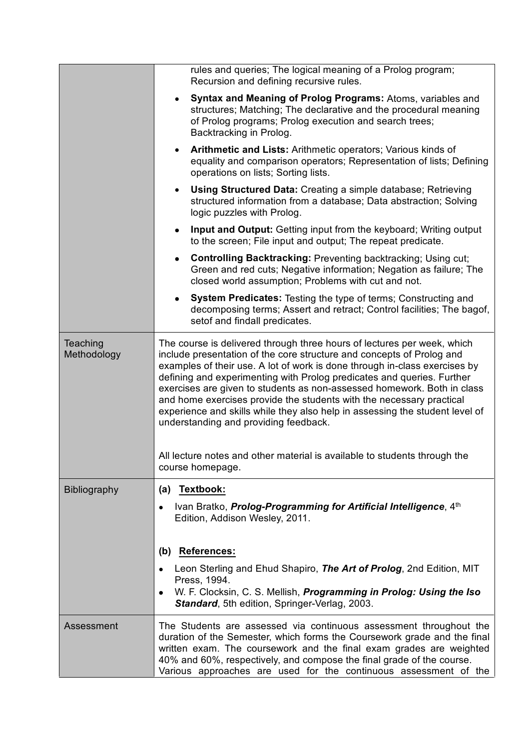|                         | rules and queries; The logical meaning of a Prolog program;<br>Recursion and defining recursive rules.                                                                                                                                                                                                                                                                                                                                                                                                                                                                               |  |  |  |  |
|-------------------------|--------------------------------------------------------------------------------------------------------------------------------------------------------------------------------------------------------------------------------------------------------------------------------------------------------------------------------------------------------------------------------------------------------------------------------------------------------------------------------------------------------------------------------------------------------------------------------------|--|--|--|--|
|                         | Syntax and Meaning of Prolog Programs: Atoms, variables and<br>$\bullet$<br>structures; Matching; The declarative and the procedural meaning<br>of Prolog programs; Prolog execution and search trees;<br>Backtracking in Prolog.                                                                                                                                                                                                                                                                                                                                                    |  |  |  |  |
|                         | Arithmetic and Lists: Arithmetic operators; Various kinds of<br>$\bullet$<br>equality and comparison operators; Representation of lists; Defining<br>operations on lists; Sorting lists.                                                                                                                                                                                                                                                                                                                                                                                             |  |  |  |  |
|                         | <b>Using Structured Data:</b> Creating a simple database; Retrieving<br>$\bullet$<br>structured information from a database; Data abstraction; Solving<br>logic puzzles with Prolog.                                                                                                                                                                                                                                                                                                                                                                                                 |  |  |  |  |
|                         | <b>Input and Output:</b> Getting input from the keyboard; Writing output<br>$\bullet$<br>to the screen; File input and output; The repeat predicate.                                                                                                                                                                                                                                                                                                                                                                                                                                 |  |  |  |  |
|                         | <b>Controlling Backtracking: Preventing backtracking; Using cut;</b><br>Green and red cuts; Negative information; Negation as failure; The<br>closed world assumption; Problems with cut and not.                                                                                                                                                                                                                                                                                                                                                                                    |  |  |  |  |
|                         | <b>System Predicates:</b> Testing the type of terms; Constructing and<br>decomposing terms; Assert and retract; Control facilities; The bagof,<br>setof and findall predicates.                                                                                                                                                                                                                                                                                                                                                                                                      |  |  |  |  |
| Teaching<br>Methodology | The course is delivered through three hours of lectures per week, which<br>include presentation of the core structure and concepts of Prolog and<br>examples of their use. A lot of work is done through in-class exercises by<br>defining and experimenting with Prolog predicates and queries. Further<br>exercises are given to students as non-assessed homework. Both in class<br>and home exercises provide the students with the necessary practical<br>experience and skills while they also help in assessing the student level of<br>understanding and providing feedback. |  |  |  |  |
|                         | All lecture notes and other material is available to students through the<br>course homepage.                                                                                                                                                                                                                                                                                                                                                                                                                                                                                        |  |  |  |  |
| <b>Bibliography</b>     | (a) Textbook:<br>Ivan Bratko, <i>Prolog-Programming for Artificial Intelligence</i> , 4 <sup>th</sup><br>$\bullet$<br>Edition, Addison Wesley, 2011.                                                                                                                                                                                                                                                                                                                                                                                                                                 |  |  |  |  |
|                         | <b>References:</b><br>(b)<br>Leon Sterling and Ehud Shapiro, The Art of Prolog, 2nd Edition, MIT<br>Press, 1994.<br>W. F. Clocksin, C. S. Mellish, Programming in Prolog: Using the Iso<br>٠<br><b>Standard, 5th edition, Springer-Verlag, 2003.</b>                                                                                                                                                                                                                                                                                                                                 |  |  |  |  |
| Assessment              | The Students are assessed via continuous assessment throughout the<br>duration of the Semester, which forms the Coursework grade and the final<br>written exam. The coursework and the final exam grades are weighted<br>40% and 60%, respectively, and compose the final grade of the course.<br>Various approaches are used for the continuous assessment of the                                                                                                                                                                                                                   |  |  |  |  |